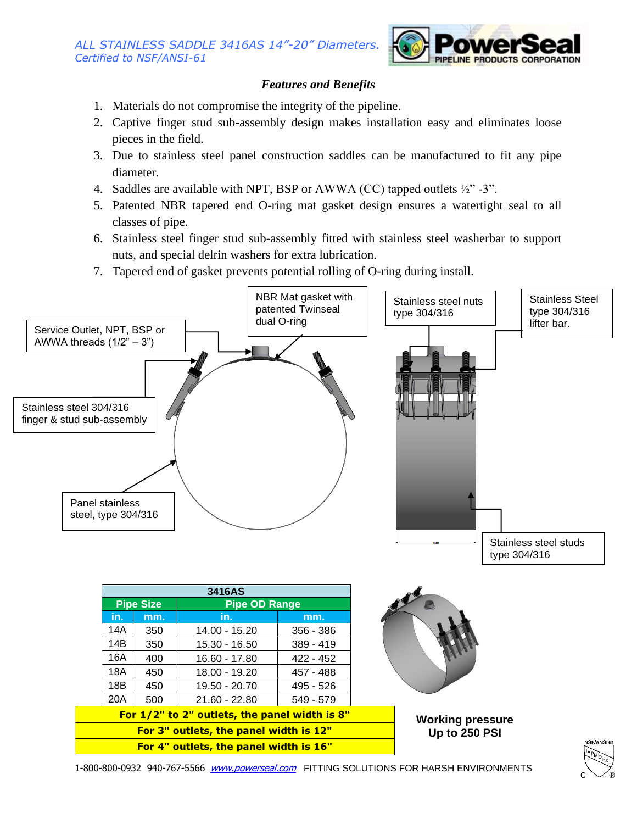

## *Features and Benefits*

- 1. Materials do not compromise the integrity of the pipeline.
- 2. Captive finger stud sub-assembly design makes installation easy and eliminates loose pieces in the field.
- 3. Due to stainless steel panel construction saddles can be manufactured to fit any pipe diameter.
- 4. Saddles are available with NPT, BSP or AWWA (CC) tapped outlets  $\frac{1}{2}$  -3".
- 5. Patented NBR tapered end O-ring mat gasket design ensures a watertight seal to all classes of pipe.
- 6. Stainless steel finger stud sub-assembly fitted with stainless steel washerbar to support nuts, and special delrin washers for extra lubrication.
- 7. Tapered end of gasket prevents potential rolling of O-ring during install.